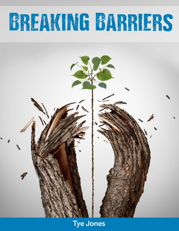# BREAKING BARRIERS



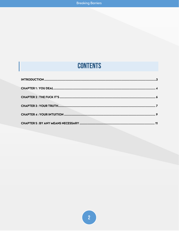## **CONTENTS**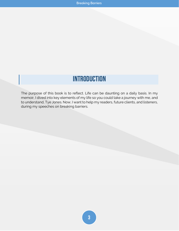## **Introduction**

<span id="page-2-0"></span>The purpose of this book is to reflect. Life can be daunting on a daily basis. In my memoir, I dived into key elements of my life so you could take a journey with me, and to understand, Tye Jones. Now, I want to help my readers, future clients, and listeners, during my speeches on breaking barriers.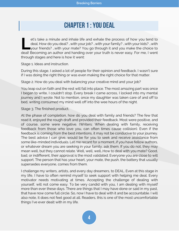### **Chapter 1: YOU DEAL**

<span id="page-3-0"></span>et's take a minute and inhale life and exhale the process of how you tend to deal. How do you deal? …with your job? …with your family? …with your kids? …with your friends? …with your mate? You go through it and you make the choice to et's take a minute and inhale life and exhale the process of how you tend to<br>deal. How do you deal? ...with your job? ...with your family? ...with your kids? ...with<br>your friends? ...with your mate? You go through it and y through stages and here is how it went:

Stage 1. Ideas and instruction.

During this stage, I asked a lot of people for their opinion and feedback. I wasn't sure if I was doing the right thing or was even making the right choice for that matter.

Stage 2. How do you deal with balancing your creative mind and your job?

You leap out on faith and the rest will fall into place. The most amazing part was once I began to write, I couldn't stop. Every break I came across, I locked into my mental journey and I wrote. Not to mention, once my daughter was taken care of and off to bed, writing consumed my mind well off into the wee hours of the night.

#### Stage 3. The finished product.

At the phase of completion, how do you deal with family and friends? The few that read it, enjoyed the rough draft and provided their feedback. Most were positive, and of course, some were negative. (Writers: When dealing with family, receiving feedback from those who love you, can often times cause collision). Even if the feedback is coming from the best intentions, it may not be conducive to your journey. The best advice I can give, would be for you to seek and receive assistance from some like-minded individuals. Let me recant for a moment…if you have fellow authors, or whatever dream you are seeking in your family, ask them. If you do not, they may mean well, but they cannot relate. Well, well, well…How to deal with you mate? Good, bad, or indifferent, their approval is the most validated. Everyone you are close to will support. The person that has your heart, your mate, the push, the battery that usually supersedes everyone, comes from them.

I challenge my writers, artists, and every day dreamers, to DEAL. Even at this stage in my life, I have to often remind myself to seek support with helping me deal. Every motivator needs motivating at times. Accepting the challenge of dealing with yourself, will not come easy. To be very candid with you, I am dealing with myself more than ever these days. There are things that I may have done or said in my past, that have now come full circle. So, now I have to deal with it and be accountable. I will also note, it does not feel good at all. Readers, this is one of the most uncomfortable things I've ever dealt with in my life.

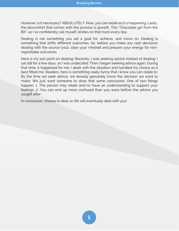However, is it necessary? ABSOLUTELY. Now, you can relate as it is happening. Lastly, the discomfort that comes with the process is growth. This "Chocolate girl from the BX", as I so confidently call myself, strides on that track every day.

Dealing is not something you set a goal for, achieve, and move on. Dealing is something that shifts different outcomes. So, before you make any rash decisions dealing with the source (you), clear your mindset and prepare your energy for nonregrettable outcomes.

Here is my last point on dealing: Recently, I was seeking advice instead of dealing. I sat still for a few days, as I was undecided. Then I began seeking advice again. During that time, it happened for me. I dealt with the situation and handled my choice as it best fitted me. Readers, here is something really funny that I know you can relate to. By the time we seek advice, we already genuinely know the decision we want to make. We just want someone to draw that same conclusion. One of two things happen: 1. The person may relate and/or have an understanding to support your feelings. 2. You can end up more confused than you were before the advice you sought after.

In conclusion, choose to deal…or life will eventually deal with you!

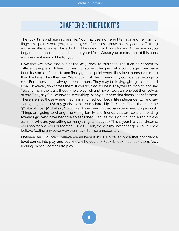## **Chapter 2: THE FUCK IT'S**

<span id="page-5-0"></span>The fuck it's is a phase in one's life. You may use a different term or another form of lingo. It's a point where you just don't give a fuck. Yes, I know that may come off strong and may offend some. This eBook will be one of two things for you: 1. The reason you began to be honest and candid about your life. 2. Cause you to close out of this book and decide it may not be for you.

Now that we have that out of the way, back to business. The fuck its happen to different people at different times. For some, it happens at a young age. They have been teased all of their life and finally got to a point where they love themselves more than the hate. They then say "Man, fuck this! The power of my confidence belongs to me." For others, it has always been in them. They may be loving, giving, reliable and loyal. However, don't cross them! If you do, that will be it. They will shut down and say 'fuck it'. Then, there are those who are selfish and never keep anyone but themselves at bay. They say fuck everyone, everything, or any outcome that doesn't benefit them. There are also those where they finish high school, begin life independently, and say 'I am going to achieve my goals no matter my hardship. Fuck this.' Then, there are the 30 plus almost 40, that say 'Fuck this. I have been on that hamster wheel long enough. Things are going to change now!' My family and friends that are 40 plus heading towards 50, who have become so seasoned with life through trial and error, always ask me "Why are you letting so many things affect you? This is your life, your dreams, your aspirations, your outcomes. Fuck it." Then, there is my mother's age 70 plus. They believe feeling any other way than 'fuck it', is so unnecessary.

I believe, and I quote 'I believe we all have it in us. However, once that confidence level comes into play and you know who you are. Fuck it, fuck that, fuck them, fuck looking back all comes into play.'

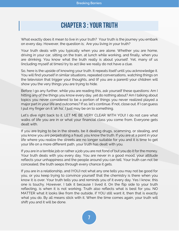## **Chapter 3: YOUR TRUTH**

<span id="page-6-0"></span>What exactly does it mean to live in your truth? Your truth is the journey you embark on every day. However, the question is; Are you living in your truth?

Your truth deals with you typically when you are alone. Whether you are home, driving in your car, sitting on the train, at lunch while working, and finally, when you are drinking. You know what the truth really is about yourself. Yet, many of us (including myself at times) try to act like we really do not have a clue.

So, here is the upside of knowing your truth. It repeats itself until you acknowledge it. You will find yourself in similar situations, repeated conversations, watching things on the television that trigger your thoughts, and (if you are a parent) your children will show you the very things you are trying to hide.

Before I go any further, while you are reading this, ask yourself these questions: Am I hitting any of the things you know every day, yet do nothing about? Am I talking about topics you never considered to be a portion of things you never realized played a major part in your life and outcomes? If so, let's continue. If not, close out. If I can guess I put my finger on it 'ah ha', I just may be on to something.

Let's dive right back to it. LET ME BE VERY CLEAR WITH YOU! I do not care what walks of life you are in or what your financial class you come from. Everyone gets dealt with.

If you are trying to be in the streets, be it dealing drugs, scamming, or stealing, and you know you are perpetrating a fraud, you know the truth. If you are at a point in your life where you realize the streets are no longer suitable for you and it is time to get your life on a more different path, your truth has dealt with you.

If you are in a terrible job or rather a job you are not fond of but you do it for the money. Your truth deals with you every day. You are never in a good mood, your attitude reflects your unhappiness and the people around you can tell. Your truth can not be concealed, the truth seeps through every chance it gets.

If you are in a relationship, and (YOU) not what any one tells you may not be good for you, or you keep trying to convince yourself that the chemistry is there when you know it is over. Your truth tells you and reminds you of it every day. Yes I know, this one is touchy. However, I talk it because I lived it. On the flip side to your truth reflecting, is when it is not working. Truth also reflects what is best for you. NO MATTER what it looks like from the outside, if YOU still want it, then that is exactly what you do. By all means stick with it. When the time comes again, your truth will shift you and it will be done.

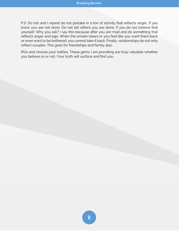P.S. Do not and I repeat do not partake in a ton of activity that reflects anger, if you know you are not done. Do not tell others you are done, if you do not believe that yourself. Why you ask? I say this because after you are mad and do something that reflects anger and ego. When the smoke clears or you feel like you want them back or even want to be bothered, you cannot take it back. Finally, relationships do not only reflect couples. This goes for friendships and family also.

Pick and choose your battles. These gems I am providing are truly valuable whether you believe so or not. Your truth will surface and find you.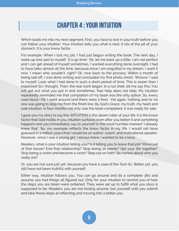## **Chapter 4 : YOUR INTUITION**

<span id="page-8-0"></span>Which leads me into my next segment. First, you have to live in your truth before you can follow your intuition. Your intuition tells you what is next. It sits at the pit of your stomach. It is your know factor.

For example: When I lost my job, I had just begun writing the book. The next day, I woke up and said to myself, 'It is go time.' Ok, let me back up a little. I am not perfect and I can get ahead of myself sometimes. I wanted everything done overnight. I had to have talks almost all the time, because once I am engulfed in my dream, I want it now. I mean who wouldn't, right? Ok, now back to the process. Within a month of being laid off, I was done writing and concluded my first photo shoot. 'Wooow' I said to myself. Look what I had done in such a short period of time. This is easier than I expected! So I thought. Then, the real work began. In a nut shell, let me say this…You will get out what you put in and sometimes, free help does not help. My intuition repeatedly reminded me that completion of my book was the only option. So, every road block I hit, I went around (and there were a few). Yet again, nothing and/or no one was going to stop me from the finish line. By God's Grace, my truth, my heart and sole intuition, in four months not only was the book completed, it was ready for sale.

I gave you my story to say this. INTUITION is the steam roller of your life. It is the know factor that God instills in you. Intuition surfaces even after you better it and something happens and you immediately say to yourself (in the most humble manner) 'I already knew that.' So, my example reflects the know factor in my life. I would not have guessed in a million years that I would be an author, coach, and motivational speaker. However, since I was a young girl, I always knew I wanted to be a boss.

Readers, what is your intuition telling you? Is it telling you to leave that job? Move out of that house? End that relationship? Stop being so needy? Get your life together? Stop being a victim and become a victor? Step out on faith? Be honest about who you really are?

Or, you are not sure just yet, because you have a case of the 'fuck its'. Better yet, you still have not been truthful with yourself.

Either way, intuition follows you. You can go around and do a complete 360 and assume you had things all figured out. Only for your intuition to remind you of how the steps you are taken were ordained. They were set up to fulfill what you story is supposed to be. Readers, you are not fooling anyone, but yourself until you submit and take these steps at reflecting and moving into a better you.

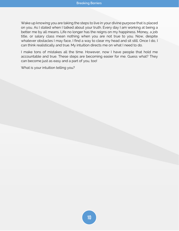Wake up knowing you are taking the steps to live in your divine purpose that is placed on you. As I stated when I talked about your truth. Every day I am working at being a better me by all means. Life no longer has the reigns on my happiness. Money, a job title, or salary class mean nothing when you are not true to you. Now, despite whatever obstacles I may face, I find a way to clear my head and sit still. Once I do, I can think realistically and true. My intuition directs me on what I need to do.

I make tons of mistakes all the time. However, now I have people that hold me accountable and true. These steps are becoming easier for me. Guess what? They can become just as easy and a part of you, too!

What is your intuition telling you?